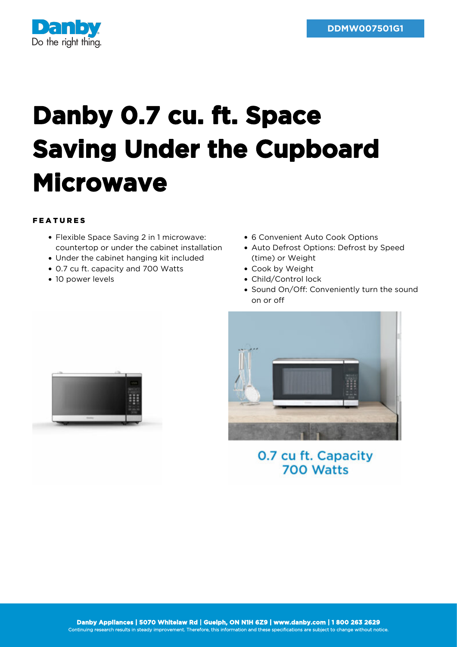

## **Danby 0.7 cu. ft. Space Saving Under the Cupboard Microwave**

## FEATURES

- Flexible Space Saving 2 in 1 microwave: countertop or under the cabinet installation
- Under the cabinet hanging kit included
- 0.7 cu ft. capacity and 700 Watts
- 10 power levels
- 6 Convenient Auto Cook Options
- Auto Defrost Options: Defrost by Speed (time) or Weight
- Cook by Weight
- Child/Control lock
- Sound On/Off: Conveniently turn the sound on or off



0.7 cu ft. Capacity 700 Watts